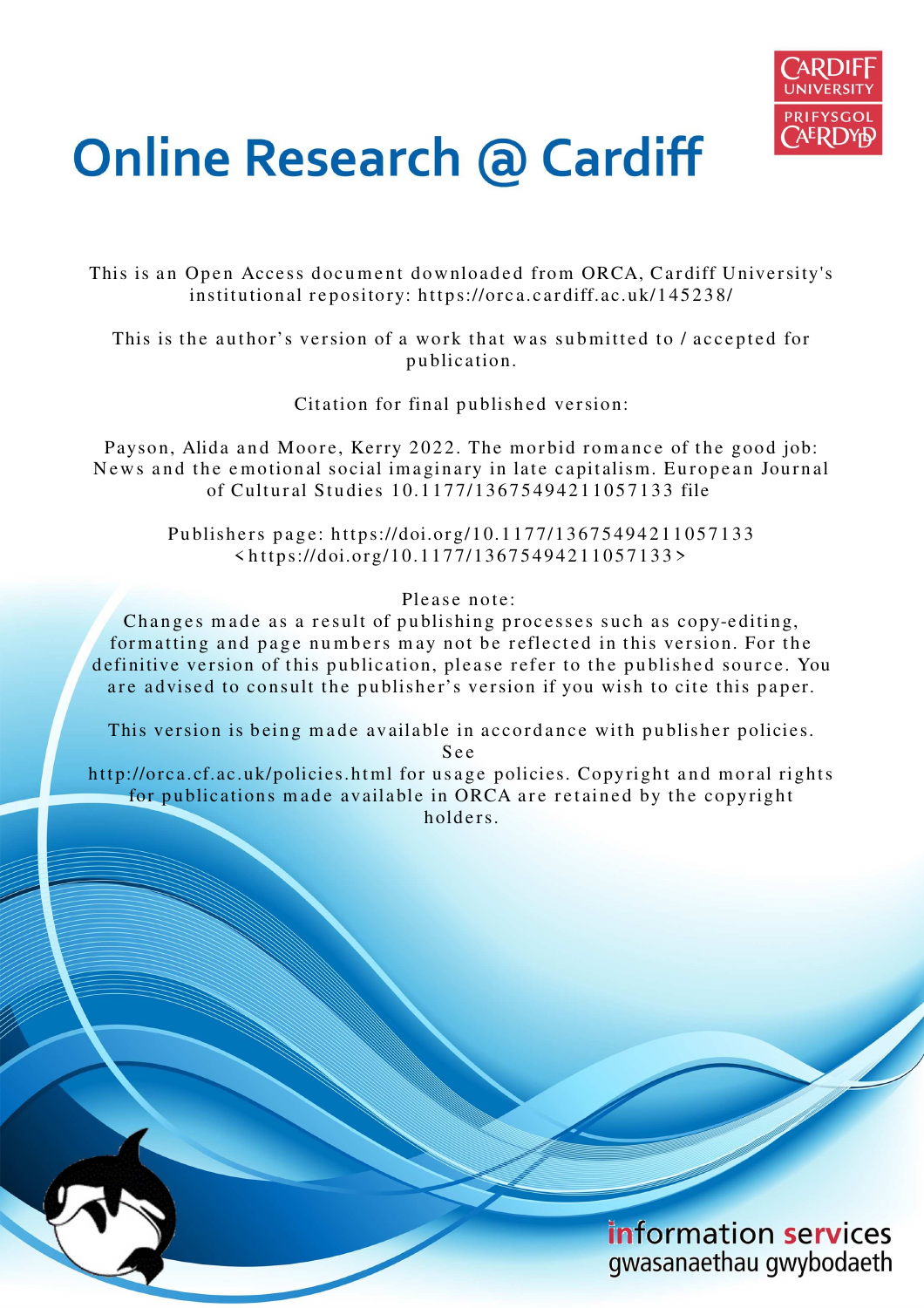

# **Online Research @ Cardiff**

This is an Open Access document downloaded from ORCA, Cardiff University's institutional repository: https://orca.cardiff.ac.uk/145238/

This is the author's version of a work that was submitted to / accepted for p u blication.

Citation for final published version:

Payson, Alida and Moore, Kerry 2022. The morbid romance of the good job: News and the emotional social imaginary in late capitalism. European Journal of Cultural Studies 10.1177/13675494211057133 file

Publishers page: https://doi.org/10.1177/13675494211057133 < h t t p s://doi.org/10.11 7 7/136 7 5 4 9 4 2 1 1 0 5 7 1 3 3 >

Please note:

Changes made as a result of publishing processes such as copy-editing, formatting and page numbers may not be reflected in this version. For the definitive version of this publication, please refer to the published source. You are advised to consult the publisher's version if you wish to cite this paper.

This version is being made available in accordance with publisher policies.

S e e

http://orca.cf.ac.uk/policies.html for usage policies. Copyright and moral rights for publications made available in ORCA are retained by the copyright holders.

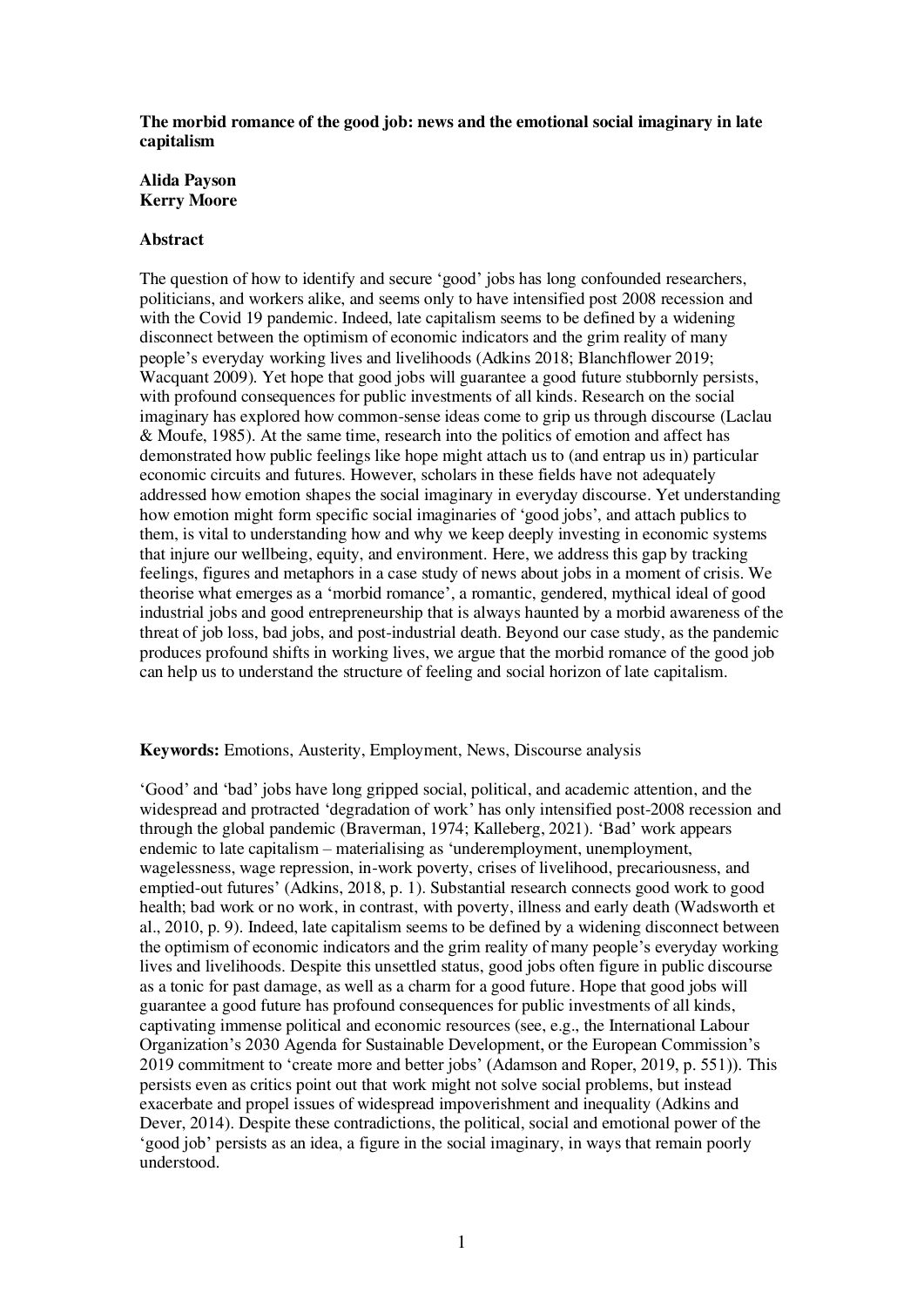### **The morbid romance of the good job: news and the emotional social imaginary in late capitalism**

# **Alida Payson Kerry Moore**

# **Abstract**

The question of how to identify and secure 'good' jobs has long confounded researchers, politicians, and workers alike, and seems only to have intensified post 2008 recession and with the Covid 19 pandemic. Indeed, late capitalism seems to be defined by a widening disconnect between the optimism of economic indicators and the grim reality of many people's everyday working lives and livelihoods (Adkins 2018; Blanchflower 2019; Wacquant 2009). Yet hope that good jobs will guarantee a good future stubbornly persists, with profound consequences for public investments of all kinds. Research on the social imaginary has explored how common-sense ideas come to grip us through discourse (Laclau & Moufe, 1985). At the same time, research into the politics of emotion and affect has demonstrated how public feelings like hope might attach us to (and entrap us in) particular economic circuits and futures. However, scholars in these fields have not adequately addressed how emotion shapes the social imaginary in everyday discourse. Yet understanding how emotion might form specific social imaginaries of 'good jobs', and attach publics to them, is vital to understanding how and why we keep deeply investing in economic systems that injure our wellbeing, equity, and environment. Here, we address this gap by tracking feelings, figures and metaphors in a case study of news about jobs in a moment of crisis. We theorise what emerges as a 'morbid romance', a romantic, gendered, mythical ideal of good industrial jobs and good entrepreneurship that is always haunted by a morbid awareness of the threat of job loss, bad jobs, and post-industrial death. Beyond our case study, as the pandemic produces profound shifts in working lives, we argue that the morbid romance of the good job can help us to understand the structure of feeling and social horizon of late capitalism.

### **Keywords:** Emotions, Austerity, Employment, News, Discourse analysis

'Good' and 'bad' jobs have long gripped social, political, and academic attention, and the widespread and protracted 'degradation of work' has only intensified post-2008 recession and through the global pandemic (Braverman, 1974; Kalleberg, 2021). 'Bad' work appears endemic to late capitalism – materialising as 'underemployment, unemployment, wagelessness, wage repression, in-work poverty, crises of livelihood, precariousness, and emptied-out futures' (Adkins, 2018, p. 1). Substantial research connects good work to good health; bad work or no work, in contrast, with poverty, illness and early death (Wadsworth et al., 2010, p. 9). Indeed, late capitalism seems to be defined by a widening disconnect between the optimism of economic indicators and the grim reality of many people's everyday working lives and livelihoods. Despite this unsettled status, good jobs often figure in public discourse as a tonic for past damage, as well as a charm for a good future. Hope that good jobs will guarantee a good future has profound consequences for public investments of all kinds, captivating immense political and economic resources (see, e.g., the International Labour Organization's 2030 Agenda for Sustainable Development, or the European Commission's 2019 commitment to 'create more and better jobs' (Adamson and Roper, 2019, p. 551)). This persists even as critics point out that work might not solve social problems, but instead exacerbate and propel issues of widespread impoverishment and inequality (Adkins and Dever, 2014). Despite these contradictions, the political, social and emotional power of the 'good job' persists as an idea, a figure in the social imaginary, in ways that remain poorly understood.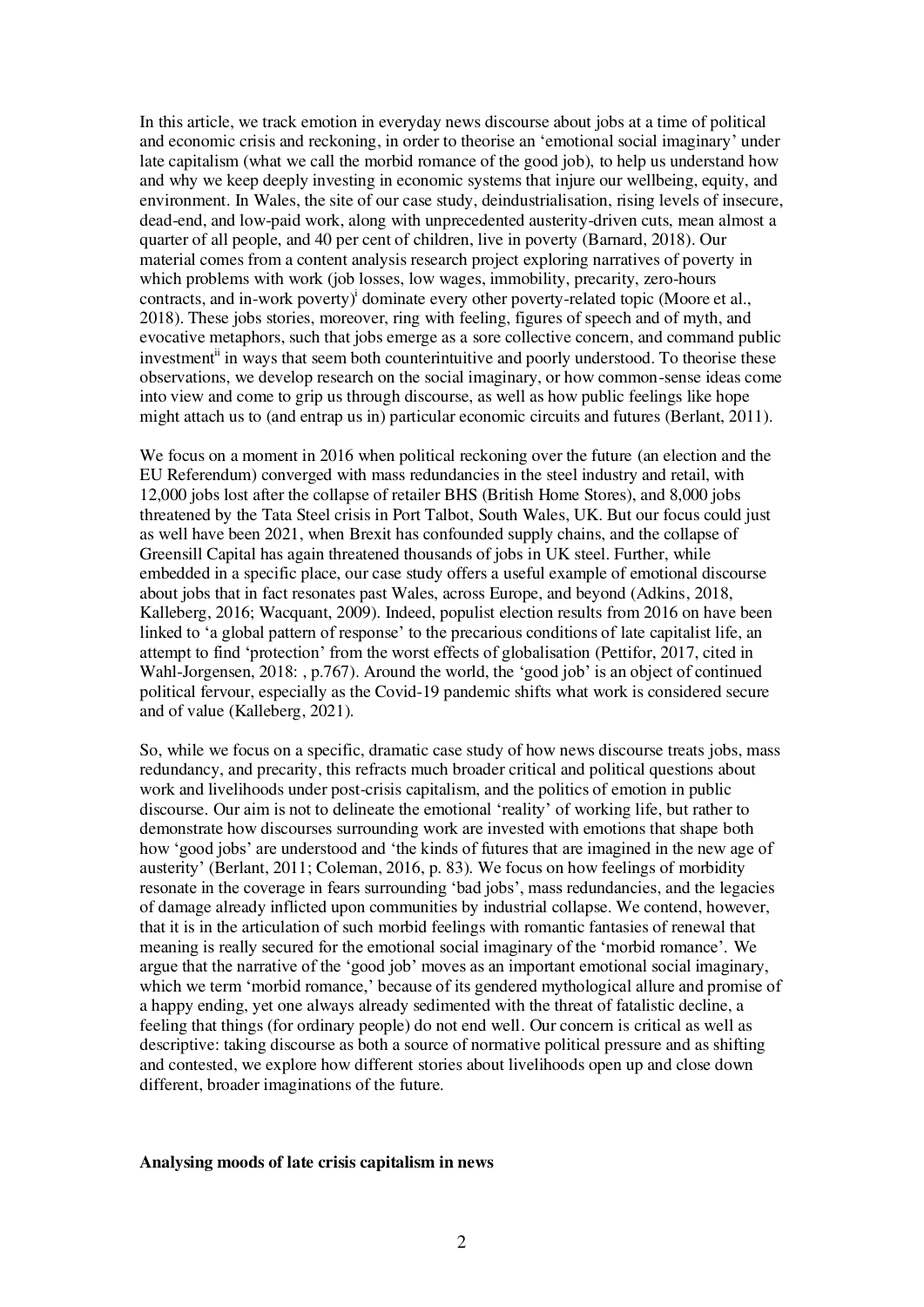In this article, we track emotion in everyday news discourse about jobs at a time of political and economic crisis and reckoning, in order to theorise an 'emotional social imaginary' under late capitalism (what we call the morbid romance of the good job), to help us understand how and why we keep deeply investing in economic systems that injure our wellbeing, equity, and environment. In Wales, the site of our case study, deindustrialisation, rising levels of insecure, dead-end, and low-paid work, along with unprecedented austerity-driven cuts, mean almost a quarter of all people, and 40 per cent of children, live in poverty (Barnard, 2018). Our material comes from a content analysis research project exploring narratives of poverty in which problems with work (job losses, low wages, immobility, precarity, zero-hours contracts, and in-work poverty)<sup>i</sup> dominate every other poverty-related topic (Moore et al., 2018). These jobs stories, moreover, ring with feeling, figures of speech and of myth, and evocative metaphors, such that jobs emerge as a sore collective concern, and command public investment<sup>ii</sup> in ways that seem both counterintuitive and poorly understood. To theorise these observations, we develop research on the social imaginary, or how common-sense ideas come into view and come to grip us through discourse, as well as how public feelings like hope might attach us to (and entrap us in) particular economic circuits and futures (Berlant, 2011).

We focus on a moment in 2016 when political reckoning over the future (an election and the EU Referendum) converged with mass redundancies in the steel industry and retail, with 12,000 jobs lost after the collapse of retailer BHS (British Home Stores), and 8,000 jobs threatened by the Tata Steel crisis in Port Talbot, South Wales, UK. But our focus could just as well have been 2021, when Brexit has confounded supply chains, and the collapse of Greensill Capital has again threatened thousands of jobs in UK steel. Further, while embedded in a specific place, our case study offers a useful example of emotional discourse about jobs that in fact resonates past Wales, across Europe, and beyond (Adkins, 2018, Kalleberg, 2016; Wacquant, 2009). Indeed, populist election results from 2016 on have been linked to 'a global pattern of response' to the precarious conditions of late capitalist life, an attempt to find 'protection' from the worst effects of globalisation (Pettifor, 2017, cited in Wahl-Jorgensen, 2018: , p.767). Around the world, the 'good job' is an object of continued political fervour, especially as the Covid-19 pandemic shifts what work is considered secure and of value (Kalleberg, 2021).

So, while we focus on a specific, dramatic case study of how news discourse treats jobs, mass redundancy, and precarity, this refracts much broader critical and political questions about work and livelihoods under post-crisis capitalism, and the politics of emotion in public discourse. Our aim is not to delineate the emotional 'reality' of working life, but rather to demonstrate how discourses surrounding work are invested with emotions that shape both how 'good jobs' are understood and 'the kinds of futures that are imagined in the new age of austerity' (Berlant, 2011; Coleman, 2016, p. 83). We focus on how feelings of morbidity resonate in the coverage in fears surrounding 'bad jobs', mass redundancies, and the legacies of damage already inflicted upon communities by industrial collapse. We contend, however, that it is in the articulation of such morbid feelings with romantic fantasies of renewal that meaning is really secured for the emotional social imaginary of the 'morbid romance'. We argue that the narrative of the 'good job' moves as an important emotional social imaginary, which we term 'morbid romance,' because of its gendered mythological allure and promise of a happy ending, yet one always already sedimented with the threat of fatalistic decline, a feeling that things (for ordinary people) do not end well. Our concern is critical as well as descriptive: taking discourse as both a source of normative political pressure and as shifting and contested, we explore how different stories about livelihoods open up and close down different, broader imaginations of the future.

#### **Analysing moods of late crisis capitalism in news**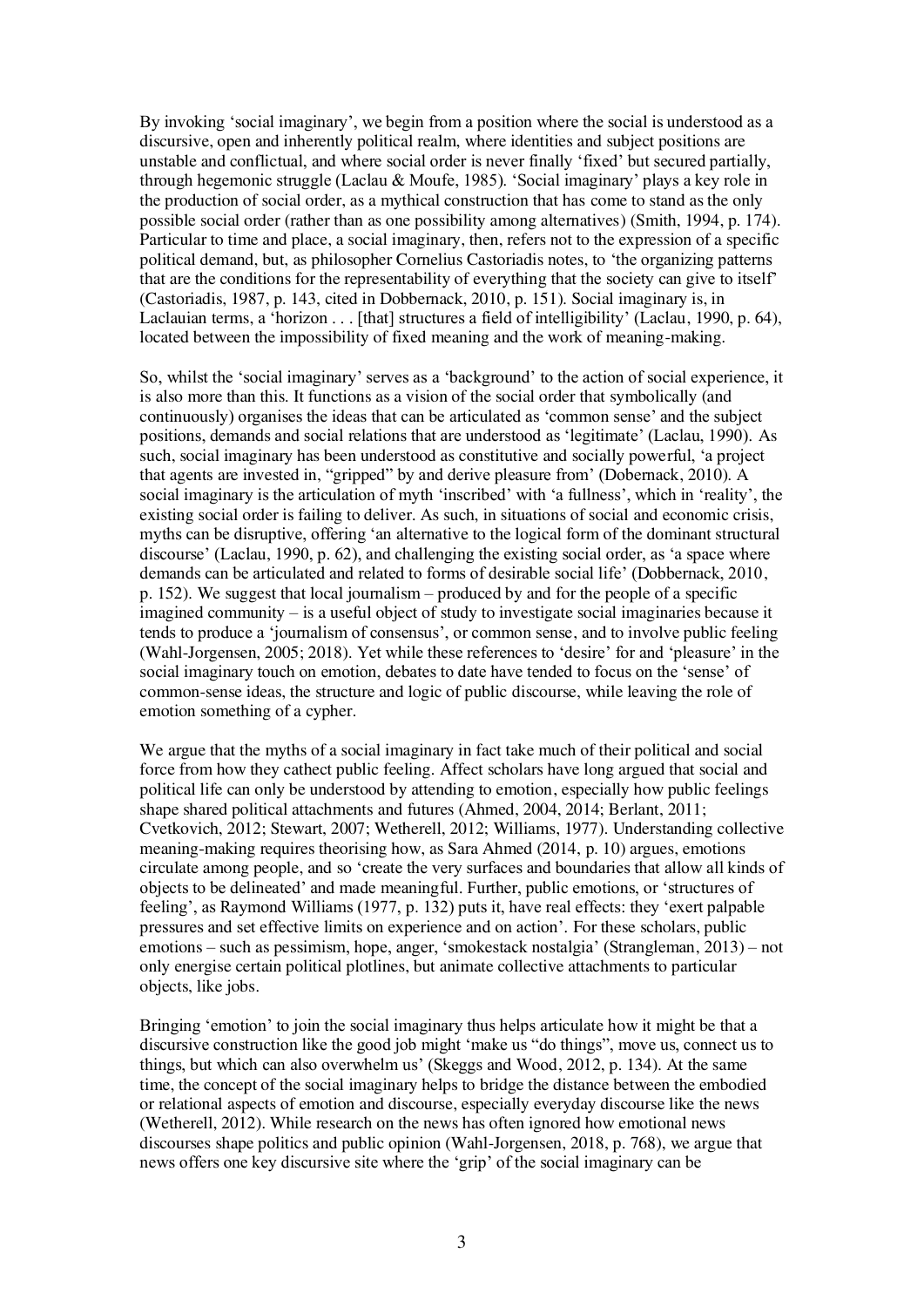By invoking 'social imaginary', we begin from a position where the social is understood as a discursive, open and inherently political realm, where identities and subject positions are unstable and conflictual, and where social order is never finally 'fixed' but secured partially, through hegemonic struggle (Laclau & Moufe, 1985). 'Social imaginary' plays a key role in the production of social order, as a mythical construction that has come to stand as the only possible social order (rather than as one possibility among alternatives) (Smith, 1994, p. 174). Particular to time and place, a social imaginary, then, refers not to the expression of a specific political demand, but, as philosopher Cornelius Castoriadis notes, to 'the organizing patterns that are the conditions for the representability of everything that the society can give to itself' (Castoriadis, 1987, p. 143, cited in Dobbernack, 2010, p. 151). Social imaginary is, in Laclauian terms, a 'horizon . . . [that] structures a field of intelligibility' (Laclau, 1990, p. 64), located between the impossibility of fixed meaning and the work of meaning-making.

So, whilst the 'social imaginary' serves as a 'background' to the action of social experience, it is also more than this. It functions as a vision of the social order that symbolically (and continuously) organises the ideas that can be articulated as 'common sense' and the subject positions, demands and social relations that are understood as 'legitimate' (Laclau, 1990). As such, social imaginary has been understood as constitutive and socially powerful, 'a project that agents are invested in, "gripped" by and derive pleasure from' (Dobernack, 2010). A social imaginary is the articulation of myth 'inscribed' with 'a fullness', which in 'reality', the existing social order is failing to deliver. As such, in situations of social and economic crisis, myths can be disruptive, offering 'an alternative to the logical form of the dominant structural discourse' (Laclau, 1990, p. 62), and challenging the existing social order, as 'a space where demands can be articulated and related to forms of desirable social life' (Dobbernack, 2010, p. 152). We suggest that local journalism – produced by and for the people of a specific imagined community – is a useful object of study to investigate social imaginaries because it tends to produce a 'journalism of consensus', or common sense, and to involve public feeling (Wahl-Jorgensen, 2005; 2018). Yet while these references to 'desire' for and 'pleasure' in the social imaginary touch on emotion, debates to date have tended to focus on the 'sense' of common-sense ideas, the structure and logic of public discourse, while leaving the role of emotion something of a cypher.

We argue that the myths of a social imaginary in fact take much of their political and social force from how they cathect public feeling. Affect scholars have long argued that social and political life can only be understood by attending to emotion, especially how public feelings shape shared political attachments and futures (Ahmed, 2004, 2014; Berlant, 2011; Cvetkovich, 2012; Stewart, 2007; Wetherell, 2012; Williams, 1977). Understanding collective meaning-making requires theorising how, as Sara Ahmed (2014, p. 10) argues, emotions circulate among people, and so 'create the very surfaces and boundaries that allow all kinds of objects to be delineated' and made meaningful. Further, public emotions, or 'structures of feeling', as Raymond Williams (1977, p. 132) puts it, have real effects: they 'exert palpable pressures and set effective limits on experience and on action'. For these scholars, public emotions – such as pessimism, hope, anger, 'smokestack nostalgia' (Strangleman, 2013) – not only energise certain political plotlines, but animate collective attachments to particular objects, like jobs.

Bringing 'emotion' to join the social imaginary thus helps articulate how it might be that a discursive construction like the good job might 'make us "do things", move us, connect us to things, but which can also overwhelm us' (Skeggs and Wood, 2012, p. 134). At the same time, the concept of the social imaginary helps to bridge the distance between the embodied or relational aspects of emotion and discourse, especially everyday discourse like the news (Wetherell, 2012). While research on the news has often ignored how emotional news discourses shape politics and public opinion (Wahl-Jorgensen, 2018, p. 768), we argue that news offers one key discursive site where the 'grip' of the social imaginary can be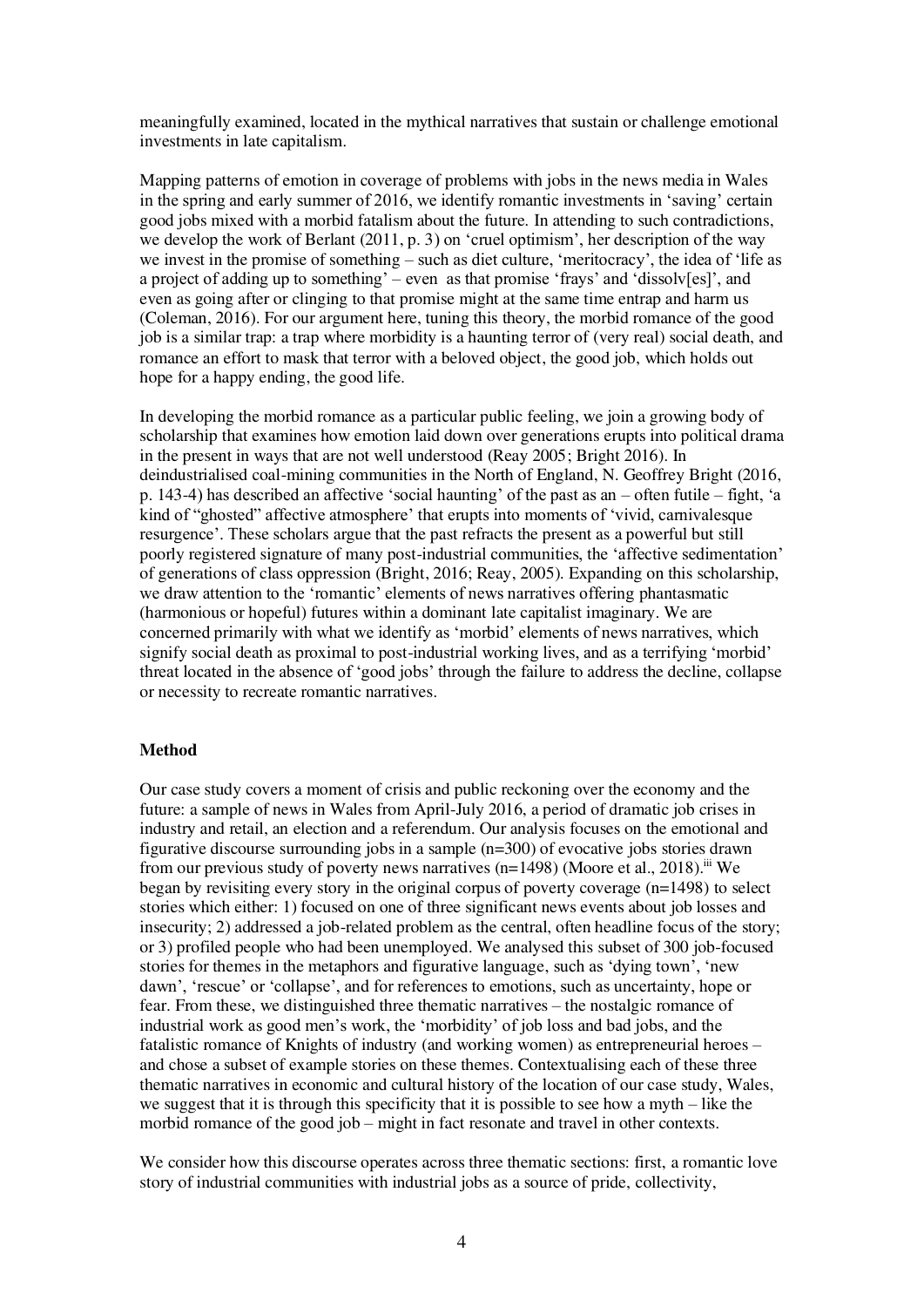meaningfully examined, located in the mythical narratives that sustain or challenge emotional investments in late capitalism.

Mapping patterns of emotion in coverage of problems with jobs in the news media in Wales in the spring and early summer of 2016, we identify romantic investments in 'saving' certain good jobs mixed with a morbid fatalism about the future. In attending to such contradictions, we develop the work of Berlant (2011, p. 3) on 'cruel optimism', her description of the way we invest in the promise of something – such as diet culture, 'meritocracy', the idea of 'life as a project of adding up to something' – even as that promise 'frays' and 'dissolv[es]', and even as going after or clinging to that promise might at the same time entrap and harm us (Coleman, 2016). For our argument here, tuning this theory, the morbid romance of the good job is a similar trap: a trap where morbidity is a haunting terror of (very real) social death, and romance an effort to mask that terror with a beloved object, the good job, which holds out hope for a happy ending, the good life.

In developing the morbid romance as a particular public feeling, we join a growing body of scholarship that examines how emotion laid down over generations erupts into political drama in the present in ways that are not well understood (Reay 2005; Bright 2016). In deindustrialised coal-mining communities in the North of England, N. Geoffrey Bright (2016, p. 143-4) has described an affective 'social haunting' of the past as an – often futile – fight, 'a kind of "ghosted" affective atmosphere' that erupts into moments of 'vivid, carnivalesque resurgence'. These scholars argue that the past refracts the present as a powerful but still poorly registered signature of many post-industrial communities, the 'affective sedimentation' of generations of class oppression (Bright, 2016; Reay, 2005). Expanding on this scholarship, we draw attention to the 'romantic' elements of news narratives offering phantasmatic (harmonious or hopeful) futures within a dominant late capitalist imaginary. We are concerned primarily with what we identify as 'morbid' elements of news narratives, which signify social death as proximal to post-industrial working lives, and as a terrifying 'morbid' threat located in the absence of 'good jobs' through the failure to address the decline, collapse or necessity to recreate romantic narratives.

### **Method**

Our case study covers a moment of crisis and public reckoning over the economy and the future: a sample of news in Wales from April-July 2016, a period of dramatic job crises in industry and retail, an election and a referendum. Our analysis focuses on the emotional and figurative discourse surrounding jobs in a sample (n=300) of evocative jobs stories drawn from our previous study of poverty news narratives  $(n=1498)$  (Moore et al., 2018).<sup>iii</sup> We began by revisiting every story in the original corpus of poverty coverage (n=1498) to select stories which either: 1) focused on one of three significant news events about job losses and insecurity; 2) addressed a job-related problem as the central, often headline focus of the story; or 3) profiled people who had been unemployed. We analysed this subset of 300 job-focused stories for themes in the metaphors and figurative language, such as 'dying town', 'new dawn', 'rescue' or 'collapse', and for references to emotions, such as uncertainty, hope or fear. From these, we distinguished three thematic narratives – the nostalgic romance of industrial work as good men's work, the 'morbidity' of job loss and bad jobs, and the fatalistic romance of Knights of industry (and working women) as entrepreneurial heroes – and chose a subset of example stories on these themes. Contextualising each of these three thematic narratives in economic and cultural history of the location of our case study, Wales, we suggest that it is through this specificity that it is possible to see how a myth – like the morbid romance of the good job – might in fact resonate and travel in other contexts.

We consider how this discourse operates across three thematic sections: first, a romantic love story of industrial communities with industrial jobs as a source of pride, collectivity,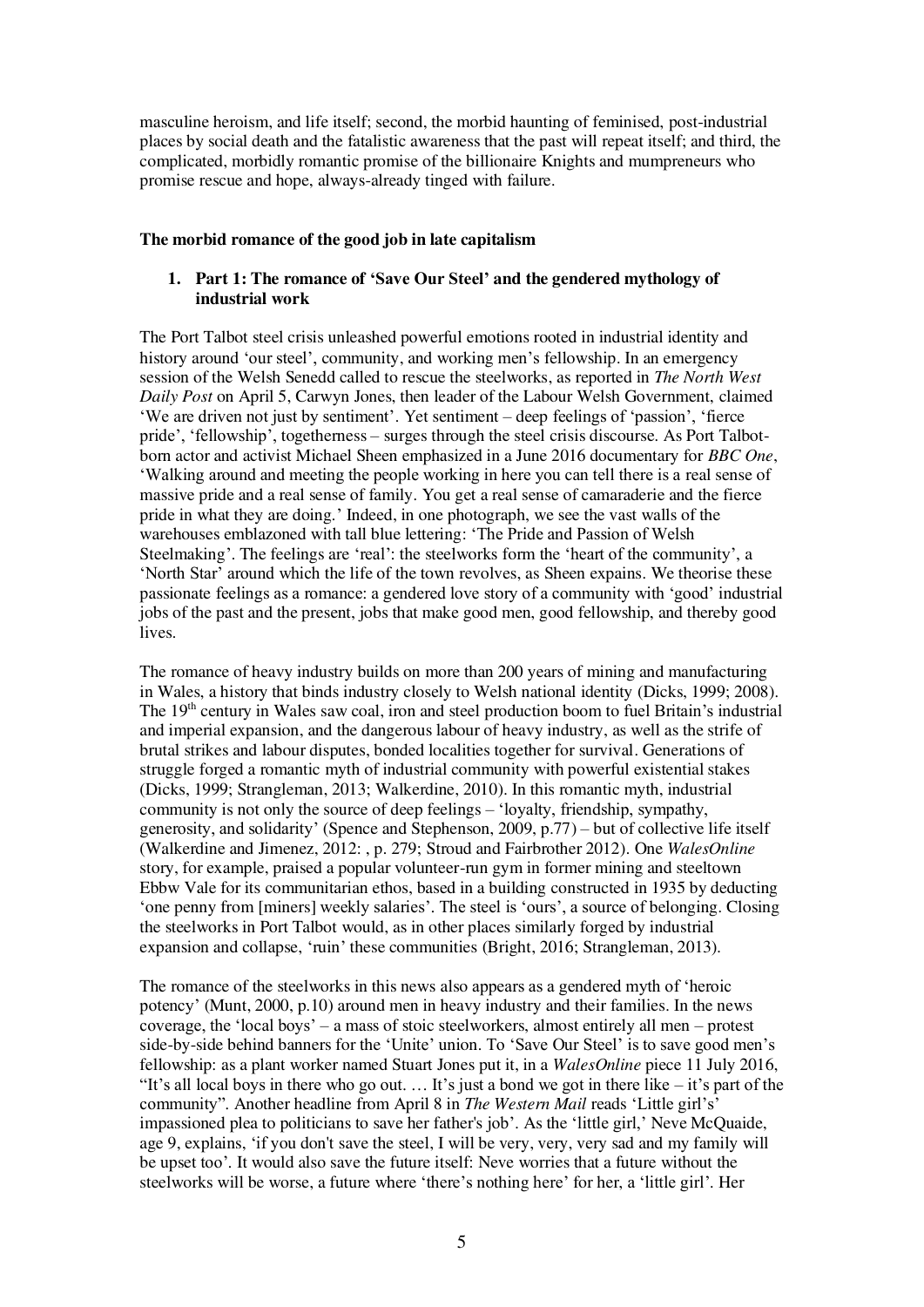masculine heroism, and life itself; second, the morbid haunting of feminised, post-industrial places by social death and the fatalistic awareness that the past will repeat itself; and third, the complicated, morbidly romantic promise of the billionaire Knights and mumpreneurs who promise rescue and hope, always-already tinged with failure.

### **The morbid romance of the good job in late capitalism**

# **1. Part 1: The romance of 'Save Our Steel' and the gendered mythology of industrial work**

The Port Talbot steel crisis unleashed powerful emotions rooted in industrial identity and history around 'our steel', community, and working men's fellowship. In an emergency session of the Welsh Senedd called to rescue the steelworks, as reported in *The North West Daily Post* on April 5, Carwyn Jones, then leader of the Labour Welsh Government, claimed 'We are driven not just by sentiment'. Yet sentiment – deep feelings of 'passion', 'fierce pride', 'fellowship', togetherness – surges through the steel crisis discourse. As Port Talbotborn actor and activist Michael Sheen emphasized in a June 2016 documentary for *BBC One*, 'Walking around and meeting the people working in here you can tell there is a real sense of massive pride and a real sense of family. You get a real sense of camaraderie and the fierce pride in what they are doing.' Indeed, in one photograph, we see the vast walls of the warehouses emblazoned with tall blue lettering: 'The Pride and Passion of Welsh Steelmaking'. The feelings are 'real': the steelworks form the 'heart of the community', a 'North Star' around which the life of the town revolves, as Sheen expains. We theorise these passionate feelings as a romance: a gendered love story of a community with 'good' industrial jobs of the past and the present, jobs that make good men, good fellowship, and thereby good lives.

The romance of heavy industry builds on more than 200 years of mining and manufacturing in Wales, a history that binds industry closely to Welsh national identity (Dicks, 1999; 2008). The 19<sup>th</sup> century in Wales saw coal, iron and steel production boom to fuel Britain's industrial and imperial expansion, and the dangerous labour of heavy industry, as well as the strife of brutal strikes and labour disputes, bonded localities together for survival. Generations of struggle forged a romantic myth of industrial community with powerful existential stakes (Dicks, 1999; Strangleman, 2013; Walkerdine, 2010). In this romantic myth, industrial community is not only the source of deep feelings – 'loyalty, friendship, sympathy, generosity, and solidarity' (Spence and Stephenson, 2009, p.77) – but of collective life itself (Walkerdine and Jimenez, 2012: , p. 279; Stroud and Fairbrother 2012). One *WalesOnline* story, for example, praised a popular volunteer-run gym in former mining and steeltown Ebbw Vale for its communitarian ethos, based in a building constructed in 1935 by deducting 'one penny from [miners] weekly salaries'. The steel is 'ours', a source of belonging. Closing the steelworks in Port Talbot would, as in other places similarly forged by industrial expansion and collapse, 'ruin' these communities (Bright, 2016; Strangleman, 2013).

The romance of the steelworks in this news also appears as a gendered myth of 'heroic potency' (Munt, 2000, p.10) around men in heavy industry and their families. In the news coverage, the 'local boys' – a mass of stoic steelworkers, almost entirely all men – protest side-by-side behind banners for the 'Unite' union. To 'Save Our Steel' is to save good men's fellowship: as a plant worker named Stuart Jones put it, in a *WalesOnline* piece 11 July 2016, "It's all local boys in there who go out.  $\ldots$  It's just a bond we got in there like – it's part of the community". Another headline from April 8 in *The Western Mail* reads 'Little girl's' impassioned plea to politicians to save her father's job'. As the 'little girl,' Neve McQuaide, age 9, explains, 'if you don't save the steel, I will be very, very, very sad and my family will be upset too'. It would also save the future itself: Neve worries that a future without the steelworks will be worse, a future where 'there's nothing here' for her, a 'little girl'. Her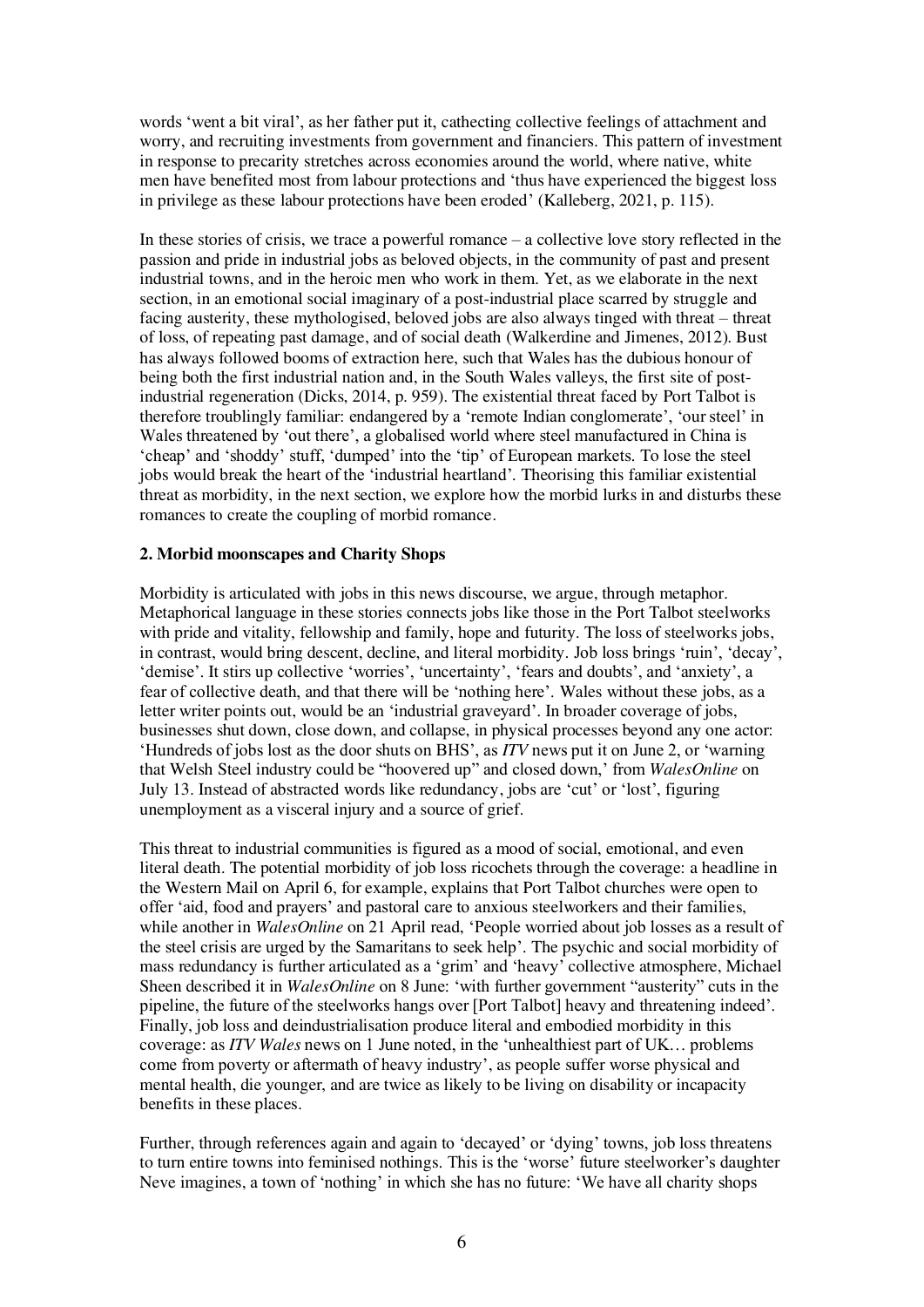words 'went a bit viral', as her father put it, cathecting collective feelings of attachment and worry, and recruiting investments from government and financiers. This pattern of investment in response to precarity stretches across economies around the world, where native, white men have benefited most from labour protections and 'thus have experienced the biggest loss in privilege as these labour protections have been eroded' (Kalleberg, 2021, p. 115).

In these stories of crisis, we trace a powerful romance – a collective love story reflected in the passion and pride in industrial jobs as beloved objects, in the community of past and present industrial towns, and in the heroic men who work in them. Yet, as we elaborate in the next section, in an emotional social imaginary of a post-industrial place scarred by struggle and facing austerity, these mythologised, beloved jobs are also always tinged with threat – threat of loss, of repeating past damage, and of social death (Walkerdine and Jimenes, 2012). Bust has always followed booms of extraction here, such that Wales has the dubious honour of being both the first industrial nation and, in the South Wales valleys, the first site of postindustrial regeneration (Dicks, 2014, p. 959). The existential threat faced by Port Talbot is therefore troublingly familiar: endangered by a 'remote Indian conglomerate', 'our steel' in Wales threatened by 'out there', a globalised world where steel manufactured in China is 'cheap' and 'shoddy' stuff, 'dumped' into the 'tip' of European markets. To lose the steel jobs would break the heart of the 'industrial heartland'. Theorising this familiar existential threat as morbidity, in the next section, we explore how the morbid lurks in and disturbs these romances to create the coupling of morbid romance.

### **2. Morbid moonscapes and Charity Shops**

Morbidity is articulated with jobs in this news discourse, we argue, through metaphor. Metaphorical language in these stories connects jobs like those in the Port Talbot steelworks with pride and vitality, fellowship and family, hope and futurity. The loss of steelworks jobs, in contrast, would bring descent, decline, and literal morbidity. Job loss brings 'ruin', 'decay', 'demise'. It stirs up collective 'worries', 'uncertainty', 'fears and doubts', and 'anxiety', a fear of collective death, and that there will be 'nothing here'. Wales without these jobs, as a letter writer points out, would be an 'industrial graveyard'. In broader coverage of jobs, businesses shut down, close down, and collapse, in physical processes beyond any one actor: 'Hundreds of jobs lost as the door shuts on BHS', as *ITV* news put it on June 2, or 'warning that Welsh Steel industry could be "hoovered up" and closed down,' from *WalesOnline* on July 13. Instead of abstracted words like redundancy, jobs are 'cut' or 'lost', figuring unemployment as a visceral injury and a source of grief.

This threat to industrial communities is figured as a mood of social, emotional, and even literal death. The potential morbidity of job loss ricochets through the coverage: a headline in the Western Mail on April 6, for example, explains that Port Talbot churches were open to offer 'aid, food and prayers' and pastoral care to anxious steelworkers and their families, while another in *WalesOnline* on 21 April read, 'People worried about job losses as a result of the steel crisis are urged by the Samaritans to seek help'. The psychic and social morbidity of mass redundancy is further articulated as a 'grim' and 'heavy' collective atmosphere, Michael Sheen described it in *WalesOnline* on 8 June: 'with further government "austerity" cuts in the pipeline, the future of the steelworks hangs over [Port Talbot] heavy and threatening indeed'. Finally, job loss and deindustrialisation produce literal and embodied morbidity in this coverage: as *ITV Wales* news on 1 June noted, in the 'unhealthiest part of UK… problems come from poverty or aftermath of heavy industry', as people suffer worse physical and mental health, die younger, and are twice as likely to be living on disability or incapacity benefits in these places.

Further, through references again and again to 'decayed' or 'dying' towns, job loss threatens to turn entire towns into feminised nothings. This is the 'worse' future steelworker's daughter Neve imagines, a town of 'nothing' in which she has no future: 'We have all charity shops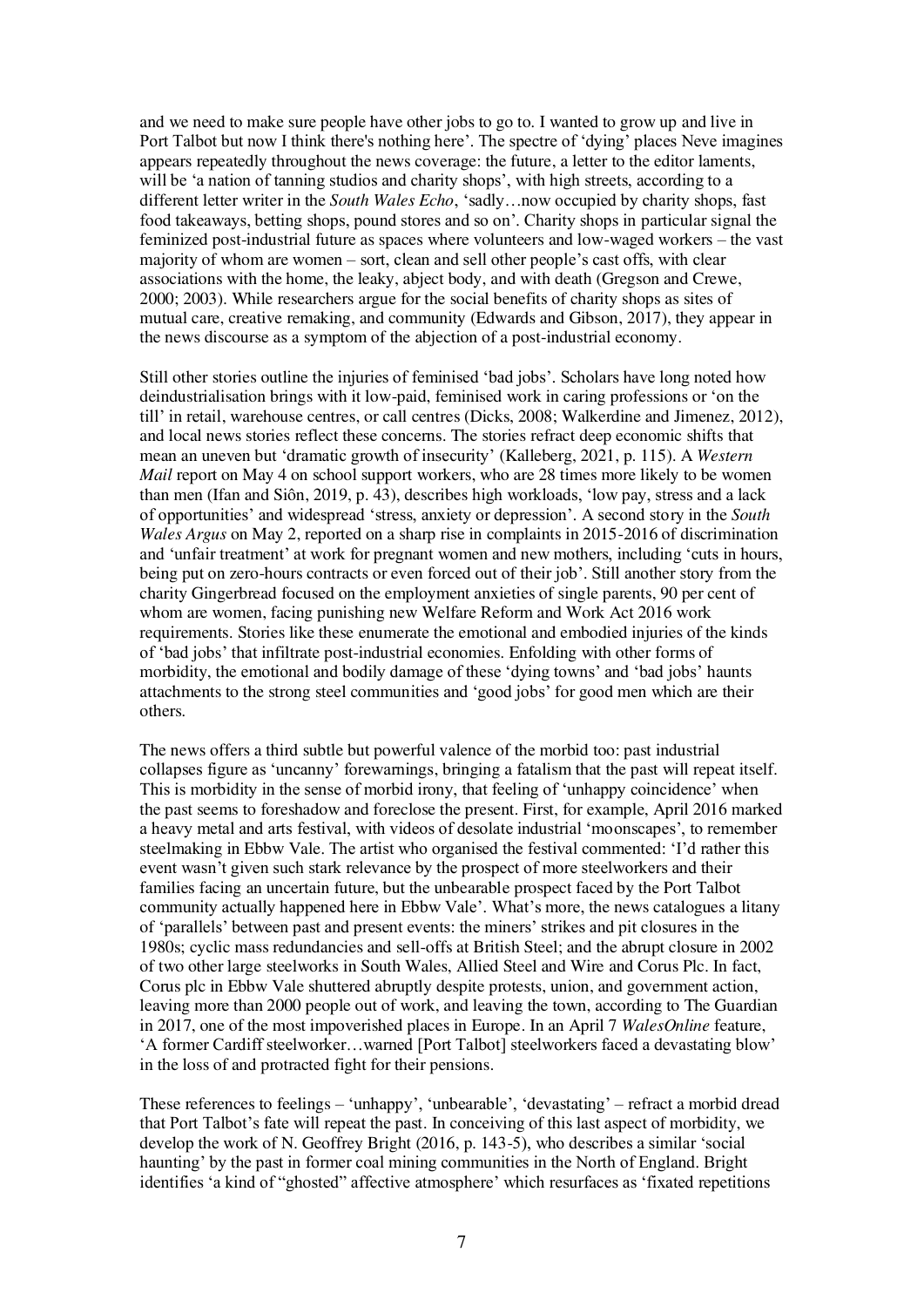and we need to make sure people have other jobs to go to. I wanted to grow up and live in Port Talbot but now I think there's nothing here'. The spectre of 'dying' places Neve imagines appears repeatedly throughout the news coverage: the future, a letter to the editor laments, will be 'a nation of tanning studios and charity shops', with high streets, according to a different letter writer in the *South Wales Echo*, 'sadly…now occupied by charity shops, fast food takeaways, betting shops, pound stores and so on'. Charity shops in particular signal the feminized post-industrial future as spaces where volunteers and low-waged workers – the vast majority of whom are women – sort, clean and sell other people's cast offs, with clear associations with the home, the leaky, abject body, and with death (Gregson and Crewe, 2000; 2003). While researchers argue for the social benefits of charity shops as sites of mutual care, creative remaking, and community (Edwards and Gibson, 2017), they appear in the news discourse as a symptom of the abjection of a post-industrial economy.

Still other stories outline the injuries of feminised 'bad jobs'. Scholars have long noted how deindustrialisation brings with it low-paid, feminised work in caring professions or 'on the till' in retail, warehouse centres, or call centres (Dicks, 2008; Walkerdine and Jimenez, 2012), and local news stories reflect these concerns. The stories refract deep economic shifts that mean an uneven but 'dramatic growth of insecurity' (Kalleberg, 2021, p. 115). A *Western Mail* report on May 4 on school support workers, who are 28 times more likely to be women than men (Ifan and Siôn, 2019, p. 43), describes high workloads, 'low pay, stress and a lack of opportunities' and widespread 'stress, anxiety or depression'. A second story in the *South Wales Argus* on May 2, reported on a sharp rise in complaints in 2015-2016 of discrimination and 'unfair treatment' at work for pregnant women and new mothers, including 'cuts in hours, being put on zero-hours contracts or even forced out of their job'. Still another story from the charity Gingerbread focused on the employment anxieties of single parents, 90 per cent of whom are women, facing punishing new Welfare Reform and Work Act 2016 work requirements. Stories like these enumerate the emotional and embodied injuries of the kinds of 'bad jobs' that infiltrate post-industrial economies. Enfolding with other forms of morbidity, the emotional and bodily damage of these 'dying towns' and 'bad jobs' haunts attachments to the strong steel communities and 'good jobs' for good men which are their others.

The news offers a third subtle but powerful valence of the morbid too: past industrial collapses figure as 'uncanny' forewarnings, bringing a fatalism that the past will repeat itself. This is morbidity in the sense of morbid irony, that feeling of 'unhappy coincidence' when the past seems to foreshadow and foreclose the present. First, for example, April 2016 marked a heavy metal and arts festival, with videos of desolate industrial 'moonscapes', to remember steelmaking in Ebbw Vale. The artist who organised the festival commented: 'I'd rather this event wasn't given such stark relevance by the prospect of more steelworkers and their families facing an uncertain future, but the unbearable prospect faced by the Port Talbot community actually happened here in Ebbw Vale'. What's more, the news catalogues a litany of 'parallels' between past and present events: the miners' strikes and pit closures in the 1980s; cyclic mass redundancies and sell-offs at British Steel; and the abrupt closure in 2002 of two other large steelworks in South Wales, Allied Steel and Wire and Corus Plc. In fact, Corus plc in Ebbw Vale shuttered abruptly despite protests, union, and government action, leaving more than 2000 people out of work, and leaving the town, according to The Guardian in 2017, one of the most impoverished places in Europe. In an April 7 *WalesOnline* feature, 'A former Cardiff steelworker…warned [Port Talbot] steelworkers faced a devastating blow' in the loss of and protracted fight for their pensions.

These references to feelings – 'unhappy', 'unbearable', 'devastating' – refract a morbid dread that Port Talbot's fate will repeat the past. In conceiving of this last aspect of morbidity, we develop the work of N. Geoffrey Bright (2016, p. 143-5), who describes a similar 'social haunting' by the past in former coal mining communities in the North of England. Bright identifies 'a kind of "ghosted" affective atmosphere' which resurfaces as 'fixated repetitions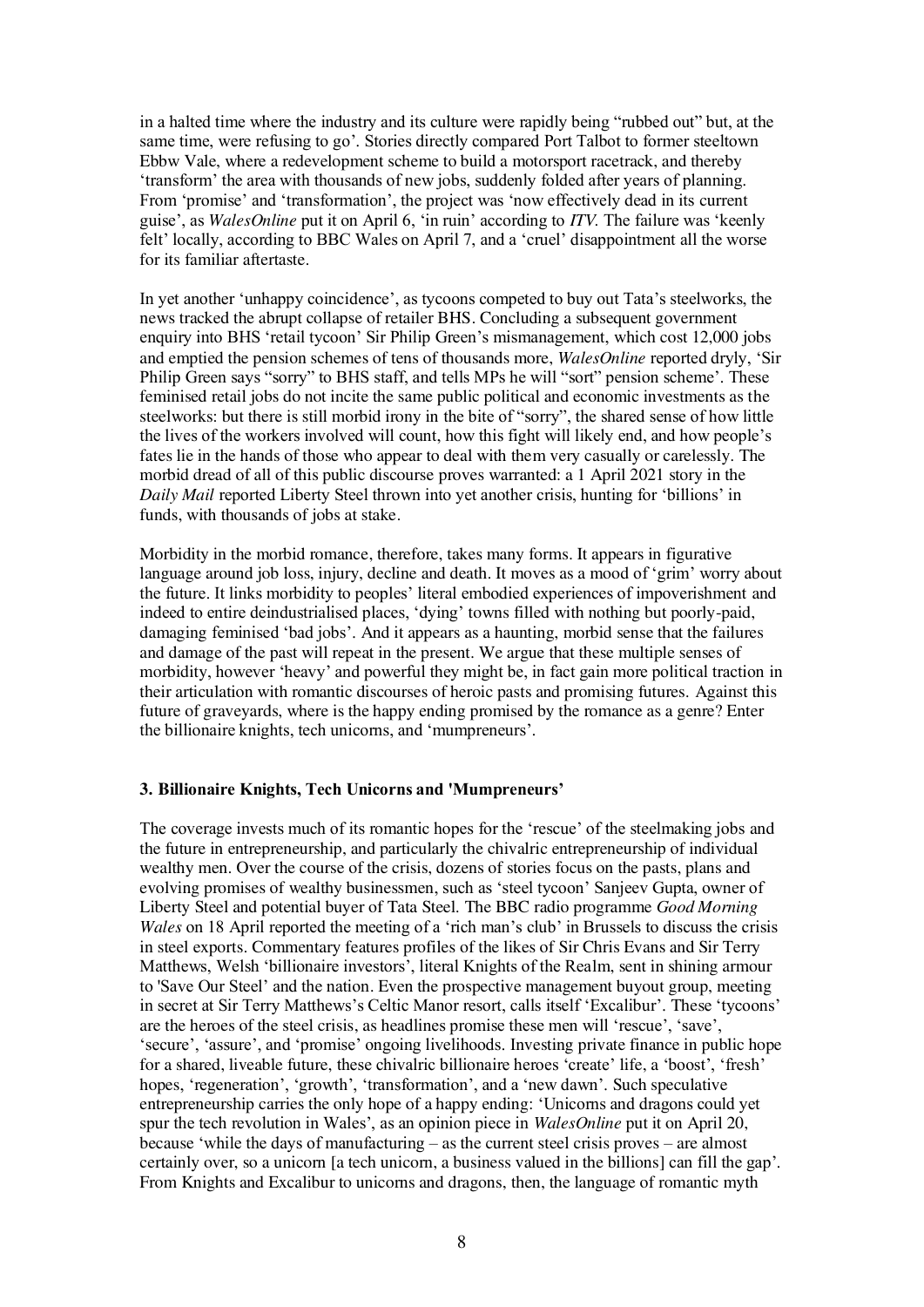in a halted time where the industry and its culture were rapidly being "rubbed out" but, at the same time, were refusing to go'. Stories directly compared Port Talbot to former steeltown Ebbw Vale, where a redevelopment scheme to build a motorsport racetrack, and thereby 'transform' the area with thousands of new jobs, suddenly folded after years of planning. From 'promise' and 'transformation', the project was 'now effectively dead in its current guise', as *WalesOnline* put it on April 6, 'in ruin' according to *ITV.* The failure was 'keenly felt' locally, according to BBC Wales on April 7, and a 'cruel' disappointment all the worse for its familiar aftertaste.

In yet another 'unhappy coincidence', as tycoons competed to buy out Tata's steelworks, the news tracked the abrupt collapse of retailer BHS. Concluding a subsequent government enquiry into BHS 'retail tycoon' Sir Philip Green's mismanagement, which cost 12,000 jobs and emptied the pension schemes of tens of thousands more, *WalesOnline* reported dryly, 'Sir Philip Green says "sorry" to BHS staff, and tells MPs he will "sort" pension scheme'. These feminised retail jobs do not incite the same public political and economic investments as the steelworks: but there is still morbid irony in the bite of "sorry", the shared sense of how little the lives of the workers involved will count, how this fight will likely end, and how people's fates lie in the hands of those who appear to deal with them very casually or carelessly. The morbid dread of all of this public discourse proves warranted: a 1 April 2021 story in the *Daily Mail* reported Liberty Steel thrown into yet another crisis, hunting for 'billions' in funds, with thousands of jobs at stake.

Morbidity in the morbid romance, therefore, takes many forms. It appears in figurative language around job loss, injury, decline and death. It moves as a mood of 'grim' worry about the future. It links morbidity to peoples' literal embodied experiences of impoverishment and indeed to entire deindustrialised places, 'dying' towns filled with nothing but poorly-paid, damaging feminised 'bad jobs'. And it appears as a haunting, morbid sense that the failures and damage of the past will repeat in the present. We argue that these multiple senses of morbidity, however 'heavy' and powerful they might be, in fact gain more political traction in their articulation with romantic discourses of heroic pasts and promising futures. Against this future of graveyards, where is the happy ending promised by the romance as a genre? Enter the billionaire knights, tech unicorns, and 'mumpreneurs'.

### **3. Billionaire Knights, Tech Unicorns and 'Mumpreneurs'**

The coverage invests much of its romantic hopes for the 'rescue' of the steelmaking jobs and the future in entrepreneurship, and particularly the chivalric entrepreneurship of individual wealthy men. Over the course of the crisis, dozens of stories focus on the pasts, plans and evolving promises of wealthy businessmen, such as 'steel tycoon' Sanjeev Gupta, owner of Liberty Steel and potential buyer of Tata Steel. The BBC radio programme *Good Morning Wales* on 18 April reported the meeting of a 'rich man's club' in Brussels to discuss the crisis in steel exports. Commentary features profiles of the likes of Sir Chris Evans and Sir Terry Matthews, Welsh 'billionaire investors', literal Knights of the Realm, sent in shining armour to 'Save Our Steel' and the nation. Even the prospective management buyout group, meeting in secret at Sir Terry Matthews's Celtic Manor resort, calls itself 'Excalibur'. These 'tycoons' are the heroes of the steel crisis, as headlines promise these men will 'rescue', 'save', 'secure', 'assure', and 'promise' ongoing livelihoods. Investing private finance in public hope for a shared, liveable future, these chivalric billionaire heroes 'create' life, a 'boost', 'fresh' hopes, 'regeneration', 'growth', 'transformation', and a 'new dawn'. Such speculative entrepreneurship carries the only hope of a happy ending: 'Unicorns and dragons could yet spur the tech revolution in Wales', as an opinion piece in *WalesOnline* put it on April 20, because 'while the days of manufacturing – as the current steel crisis proves – are almost certainly over, so a unicorn [a tech unicorn, a business valued in the billions] can fill the gap'. From Knights and Excalibur to unicorns and dragons, then, the language of romantic myth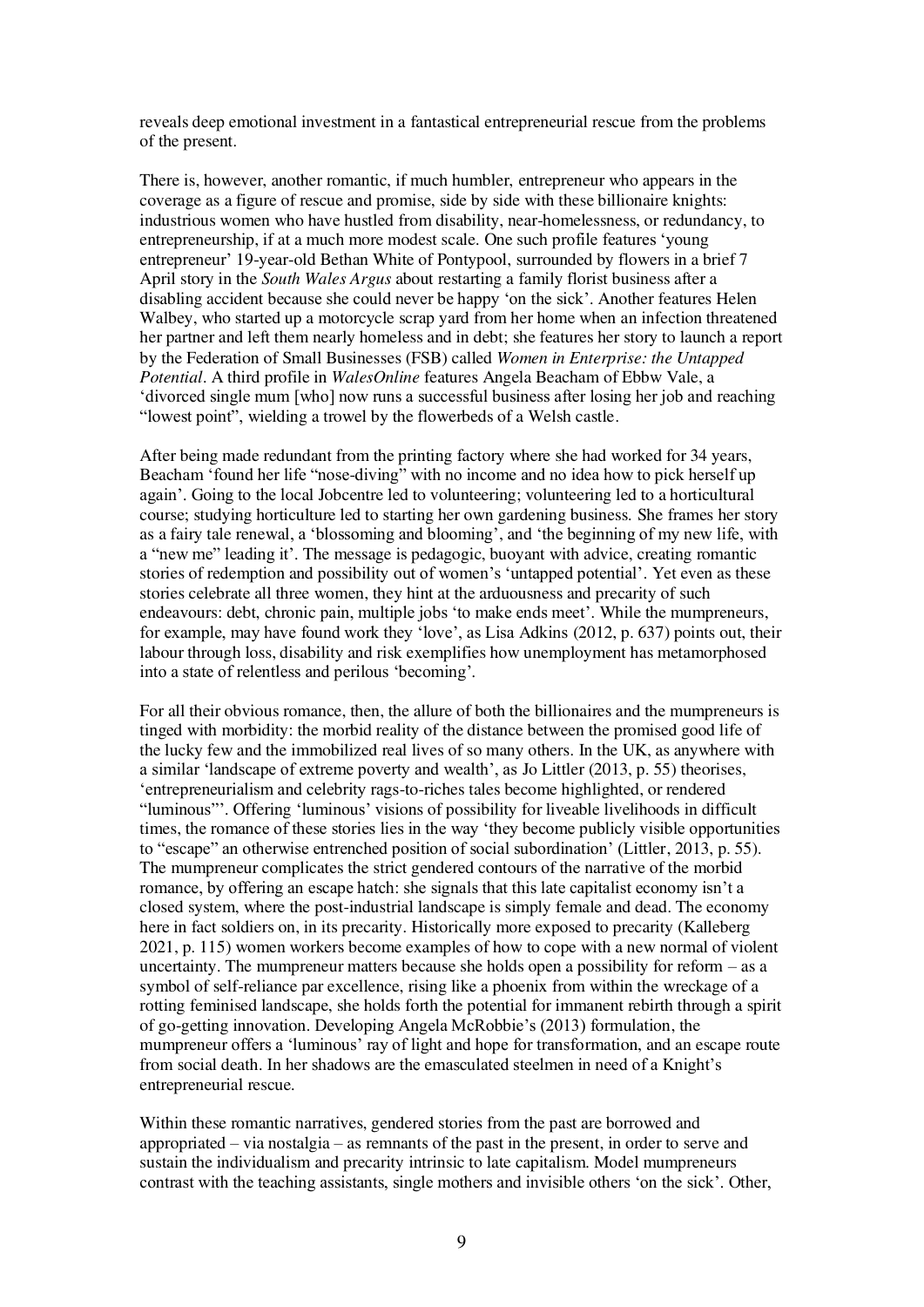reveals deep emotional investment in a fantastical entrepreneurial rescue from the problems of the present.

There is, however, another romantic, if much humbler, entrepreneur who appears in the coverage as a figure of rescue and promise, side by side with these billionaire knights: industrious women who have hustled from disability, near-homelessness, or redundancy, to entrepreneurship, if at a much more modest scale. One such profile features 'young entrepreneur' 19-year-old Bethan White of Pontypool, surrounded by flowers in a brief 7 April story in the *South Wales Argus* about restarting a family florist business after a disabling accident because she could never be happy 'on the sick'. Another features Helen Walbey, who started up a motorcycle scrap yard from her home when an infection threatened her partner and left them nearly homeless and in debt; she features her story to launch a report by the Federation of Small Businesses (FSB) called *Women in Enterprise: the Untapped Potential*. A third profile in *WalesOnline* features Angela Beacham of Ebbw Vale, a 'divorced single mum [who] now runs a successful business after losing her job and reaching "lowest point", wielding a trowel by the flowerbeds of a Welsh castle.

After being made redundant from the printing factory where she had worked for 34 years, Beacham 'found her life "nose-diving" with no income and no idea how to pick herself up again'. Going to the local Jobcentre led to volunteering; volunteering led to a horticultural course; studying horticulture led to starting her own gardening business. She frames her story as a fairy tale renewal, a 'blossoming and blooming', and 'the beginning of my new life, with a "new me" leading it'. The message is pedagogic, buoyant with advice, creating romantic stories of redemption and possibility out of women's 'untapped potential'. Yet even as these stories celebrate all three women, they hint at the arduousness and precarity of such endeavours: debt, chronic pain, multiple jobs 'to make ends meet'. While the mumpreneurs, for example, may have found work they 'love', as Lisa Adkins (2012, p. 637) points out, their labour through loss, disability and risk exemplifies how unemployment has metamorphosed into a state of relentless and perilous 'becoming'.

For all their obvious romance, then, the allure of both the billionaires and the mumpreneurs is tinged with morbidity: the morbid reality of the distance between the promised good life of the lucky few and the immobilized real lives of so many others. In the UK, as anywhere with a similar 'landscape of extreme poverty and wealth', as Jo Littler (2013, p. 55) theorises, 'entrepreneurialism and celebrity rags-to-riches tales become highlighted, or rendered "luminous"'. Offering 'luminous' visions of possibility for liveable livelihoods in difficult times, the romance of these stories lies in the way 'they become publicly visible opportunities to "escape" an otherwise entrenched position of social subordination' (Littler, 2013, p. 55). The mumpreneur complicates the strict gendered contours of the narrative of the morbid romance, by offering an escape hatch: she signals that this late capitalist economy isn't a closed system, where the post-industrial landscape is simply female and dead. The economy here in fact soldiers on, in its precarity. Historically more exposed to precarity (Kalleberg 2021, p. 115) women workers become examples of how to cope with a new normal of violent uncertainty. The mumpreneur matters because she holds open a possibility for reform  $-$  as a symbol of self-reliance par excellence, rising like a phoenix from within the wreckage of a rotting feminised landscape, she holds forth the potential for immanent rebirth through a spirit of go-getting innovation. Developing Angela McRobbie's (2013) formulation, the mumpreneur offers a 'luminous' ray of light and hope for transformation, and an escape route from social death. In her shadows are the emasculated steelmen in need of a Knight's entrepreneurial rescue.

Within these romantic narratives, gendered stories from the past are borrowed and appropriated – via nostalgia – as remnants of the past in the present, in order to serve and sustain the individualism and precarity intrinsic to late capitalism. Model mumpreneurs contrast with the teaching assistants, single mothers and invisible others 'on the sick'. Other,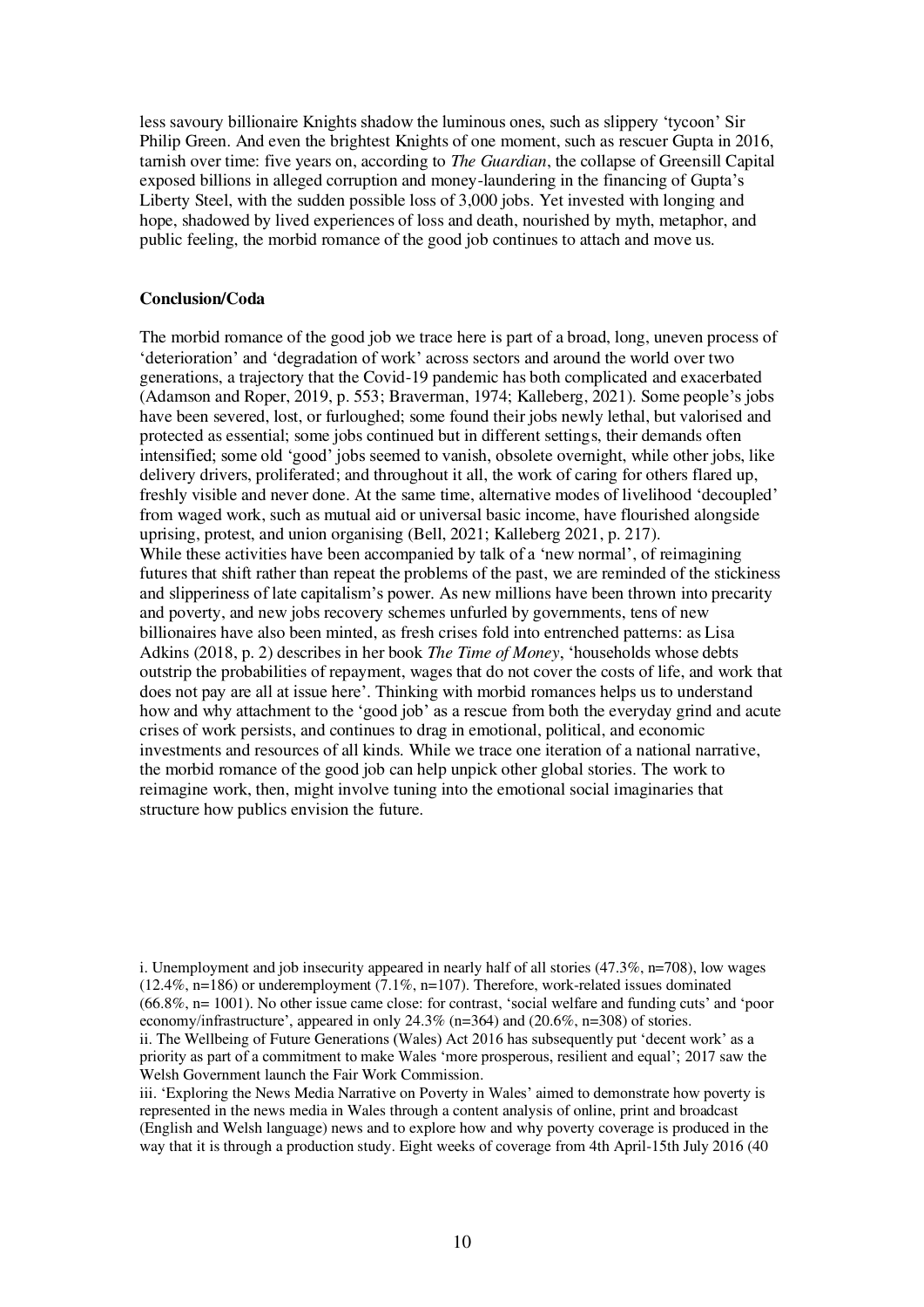less savoury billionaire Knights shadow the luminous ones, such as slippery 'tycoon' Sir Philip Green. And even the brightest Knights of one moment, such as rescuer Gupta in 2016, tarnish over time: five years on, according to *The Guardian*, the collapse of Greensill Capital exposed billions in alleged corruption and money-laundering in the financing of Gupta's Liberty Steel, with the sudden possible loss of 3,000 jobs. Yet invested with longing and hope, shadowed by lived experiences of loss and death, nourished by myth, metaphor, and public feeling, the morbid romance of the good job continues to attach and move us.

#### **Conclusion/Coda**

The morbid romance of the good job we trace here is part of a broad, long, uneven process of 'deterioration' and 'degradation of work' across sectors and around the world over two generations, a trajectory that the Covid-19 pandemic has both complicated and exacerbated (Adamson and Roper, 2019, p. 553; Braverman, 1974; Kalleberg, 2021). Some people's jobs have been severed, lost, or furloughed; some found their jobs newly lethal, but valorised and protected as essential; some jobs continued but in different settings, their demands often intensified; some old 'good' jobs seemed to vanish, obsolete overnight, while other jobs, like delivery drivers, proliferated; and throughout it all, the work of caring for others flared up, freshly visible and never done. At the same time, alternative modes of livelihood 'decoupled' from waged work, such as mutual aid or universal basic income, have flourished alongside uprising, protest, and union organising (Bell, 2021; Kalleberg 2021, p. 217). While these activities have been accompanied by talk of a 'new normal', of reimagining futures that shift rather than repeat the problems of the past, we are reminded of the stickiness and slipperiness of late capitalism's power. As new millions have been thrown into precarity and poverty, and new jobs recovery schemes unfurled by governments, tens of new billionaires have also been minted, as fresh crises fold into entrenched patterns: as Lisa Adkins (2018, p. 2) describes in her book *The Time of Money*, 'households whose debts outstrip the probabilities of repayment, wages that do not cover the costs of life, and work that does not pay are all at issue here'. Thinking with morbid romances helps us to understand how and why attachment to the 'good job' as a rescue from both the everyday grind and acute crises of work persists, and continues to drag in emotional, political, and economic investments and resources of all kinds. While we trace one iteration of a national narrative, the morbid romance of the good job can help unpick other global stories. The work to reimagine work, then, might involve tuning into the emotional social imaginaries that structure how publics envision the future.

i. Unemployment and job insecurity appeared in nearly half of all stories (47.3%, n=708), low wages  $(12.4\%, n=186)$  or underemployment  $(7.1\%, n=107)$ . Therefore, work-related issues dominated (66.8%, n= 1001). No other issue came close: for contrast, 'social welfare and funding cuts' and 'poor economy/infrastructure', appeared in only 24.3% (n=364) and (20.6%, n=308) of stories.

iii. 'Exploring the News Media Narrative on Poverty in Wales' aimed to demonstrate how poverty is represented in the news media in Wales through a content analysis of online, print and broadcast (English and Welsh language) news and to explore how and why poverty coverage is produced in the way that it is through a production study. Eight weeks of coverage from 4th April-15th July 2016 (40

ii. The Wellbeing of Future Generations (Wales) Act 2016 has subsequently put 'decent work' as a priority as part of a commitment to make Wales 'more prosperous, resilient and equal'; 2017 saw the Welsh Government launch the Fair Work Commission.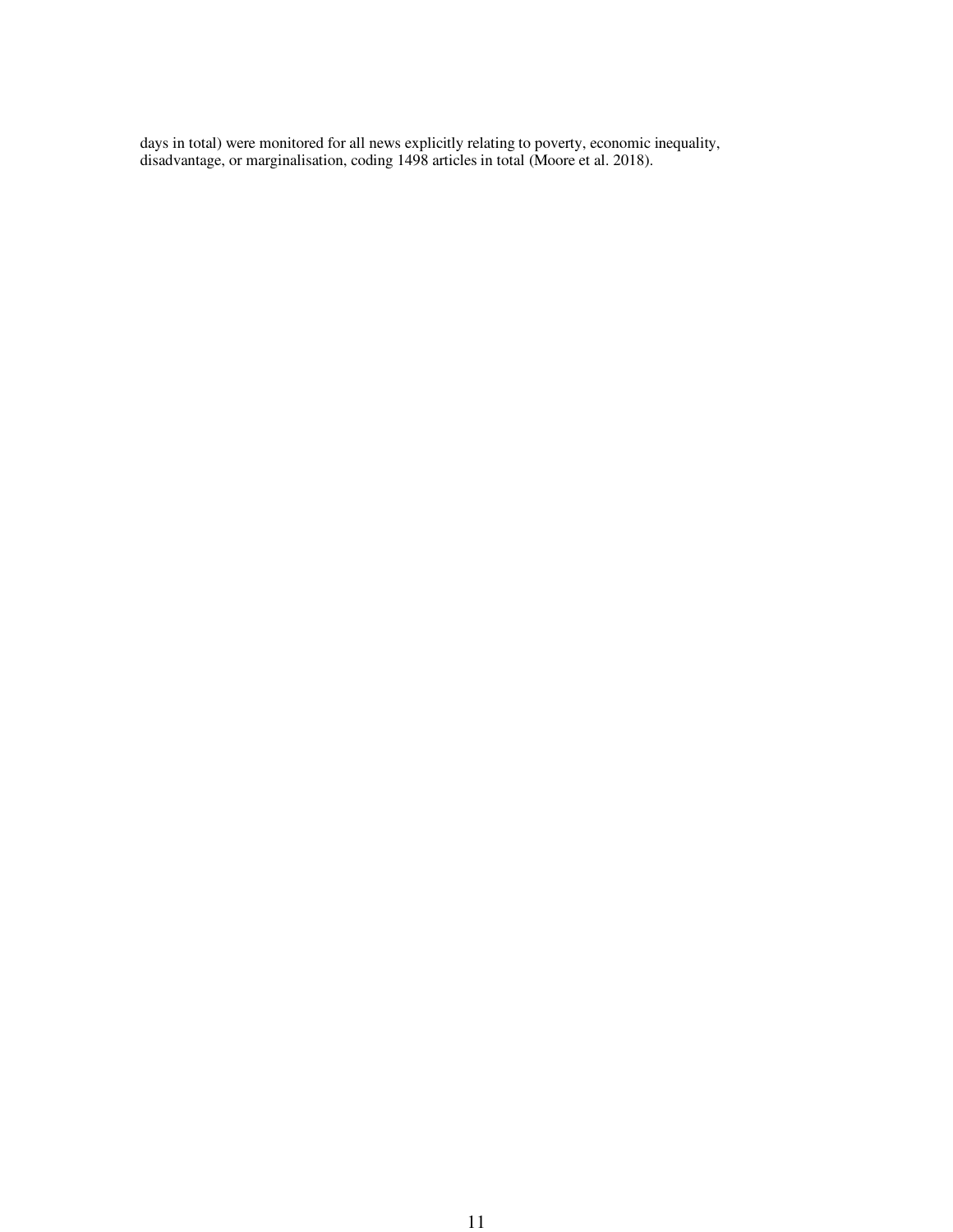days in total) were monitored for all news explicitly relating to poverty, economic inequality, disadvantage, or marginalisation, coding 1498 articles in total (Moore et al. 2018).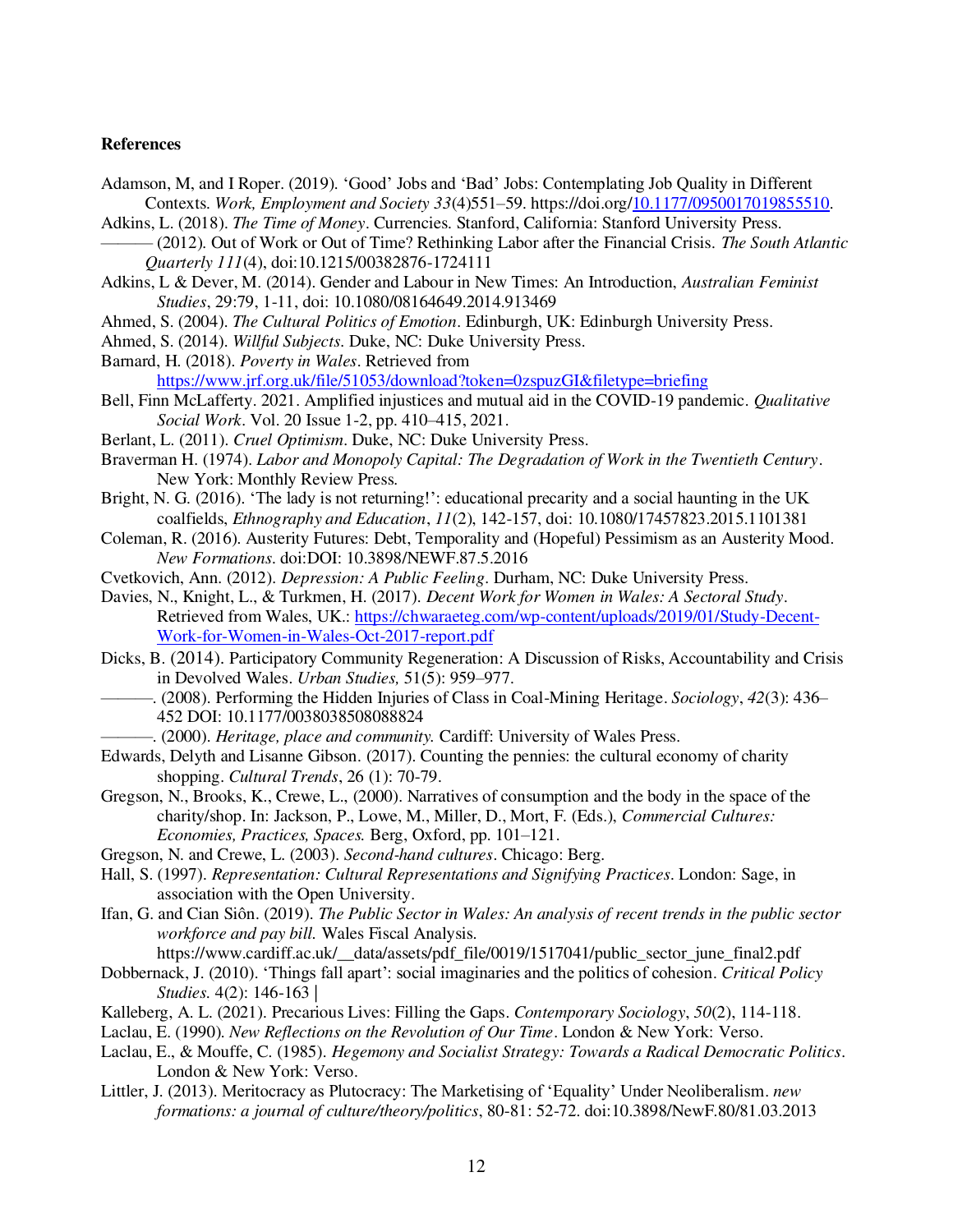#### **References**

- Adamson, M, and I Roper. (2019). 'Good' Jobs and 'Bad' Jobs: Contemplating Job Quality in Different Contexts. *Work, Employment and Society 33*(4)551–59. https://doi.org[/10.1177/0950017019855510.](https://doi-org.abc.cardiff.ac.uk/10.1177/0950017019855510)
- Adkins, L. (2018). *The Time of Money*. Currencies. Stanford, California: Stanford University Press.
- ——— (2012). Out of Work or Out of Time? Rethinking Labor after the Financial Crisis. *The South Atlantic Quarterly 111*(4), doi:10.1215/00382876-1724111
- Adkins, L & Dever, M. (2014). Gender and Labour in New Times: An Introduction, *Australian Feminist Studies*, 29:79, 1-11, doi: 10.1080/08164649.2014.913469
- Ahmed, S. (2004). *The Cultural Politics of Emotion*. Edinburgh, UK: Edinburgh University Press.
- Ahmed, S. (2014). *Willful Subjects*. Duke, NC: Duke University Press.
- Barnard, H. (2018). *Poverty in Wales*. Retrieved from <https://www.jrf.org.uk/file/51053/download?token=0zspuzGI&filetype=briefing>
- Bell, Finn McLafferty. 2021. Amplified injustices and mutual aid in the COVID-19 pandemic. *Qualitative Social Work*. Vol. 20 Issue 1-2, pp. 410–415, 2021.
- Berlant, L. (2011). *Cruel Optimism*. Duke, NC: Duke University Press.
- Braverman H. (1974). *Labor and Monopoly Capital: The Degradation of Work in the Twentieth Century*. New York: Monthly Review Press.
- Bright, N. G. (2016). 'The lady is not returning!': educational precarity and a social haunting in the UK coalfields, *Ethnography and Education*, *11*(2), 142-157, doi: 10.1080/17457823.2015.1101381
- Coleman, R. (2016). Austerity Futures: Debt, Temporality and (Hopeful) Pessimism as an Austerity Mood. *New Formations*. doi:DOI: 10.3898/NEWF.87.5.2016
- Cvetkovich, Ann. (2012). *Depression: A Public Feeling*. Durham, NC: Duke University Press.
- Davies, N., Knight, L., & Turkmen, H. (2017). *Decent Work for Women in Wales: A Sectoral Study*. Retrieved from Wales, UK.: [https://chwaraeteg.com/wp-content/uploads/2019/01/Study-Decent-](https://chwaraeteg.com/wp-content/uploads/2019/01/Study-Decent-Work-for-Women-in-Wales-Oct-2017-report.pdf)[Work-for-Women-in-Wales-Oct-2017-report.pdf](https://chwaraeteg.com/wp-content/uploads/2019/01/Study-Decent-Work-for-Women-in-Wales-Oct-2017-report.pdf)
- Dicks, B. (2014). Participatory Community Regeneration: A Discussion of Risks, Accountability and Crisis in Devolved Wales. *Urban Studies,* 51(5): 959–977.
	- ———. (2008). Performing the Hidden Injuries of Class in Coal-Mining Heritage. *Sociology*, *42*(3): 436– 452 DOI: 10.1177/0038038508088824
		- ———. (2000). *Heritage, place and community.* Cardiff: University of Wales Press.
- Edwards, Delyth and Lisanne Gibson. (2017). Counting the pennies: the cultural economy of charity shopping. *Cultural Trends*, 26 (1): 70-79.
- Gregson, N., Brooks, K., Crewe, L., (2000). Narratives of consumption and the body in the space of the charity/shop. In: Jackson, P., Lowe, M., Miller, D., Mort, F. (Eds.), *Commercial Cultures: Economies, Practices, Spaces.* Berg, Oxford, pp. 101–121.
- Gregson, N. and Crewe, L. (2003). *Second-hand cultures*. Chicago: Berg.
- Hall, S. (1997). *Representation: Cultural Representations and Signifying Practices*. London: Sage, in association with the Open University.
- Ifan, G. and Cian Siôn. (2019). *The Public Sector in Wales: An analysis of recent trends in the public sector workforce and pay bill.* Wales Fiscal Analysis*.*

https://www.cardiff.ac.uk/\_data/assets/pdf\_file/0019/1517041/public\_sector\_june\_final2.pdf

- Dobbernack, J. (2010). 'Things fall apart': social imaginaries and the politics of cohesion. *Critical Policy Studies.* 4(2): 146-163 |
- Kalleberg, A. L. (2021). Precarious Lives: Filling the Gaps. *Contemporary Sociology*, *50*(2), 114-118.

Laclau, E. (1990). *New Reflections on the Revolution of Our Time*. London & New York: Verso.

- Laclau, E., & Mouffe, C. (1985). *Hegemony and Socialist Strategy: Towards a Radical Democratic Politics*. London & New York: Verso.
- Littler, J. (2013). Meritocracy as Plutocracy: The Marketising of 'Equality' Under Neoliberalism. *new formations: a journal of culture/theory/politics*, 80-81: 52-72. doi:10.3898/NewF.80/81.03.2013